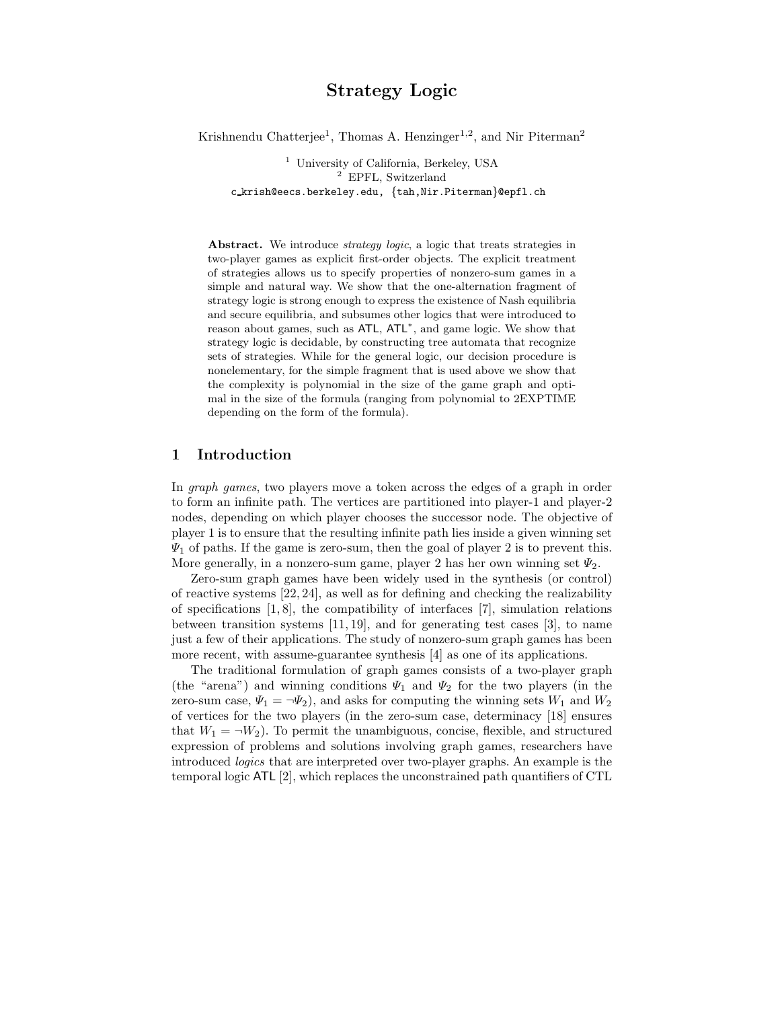# Strategy Logic

Krishnendu Chatterjee<sup>1</sup>, Thomas A. Henzinger<sup>1,2</sup>, and Nir Piterman<sup>2</sup>

<sup>1</sup> University of California, Berkeley, USA <sup>2</sup> EPFL, Switzerland c krish@eecs.berkeley.edu, {tah,Nir.Piterman}@epfl.ch

Abstract. We introduce *strategy logic*, a logic that treats strategies in two-player games as explicit first-order objects. The explicit treatment of strategies allows us to specify properties of nonzero-sum games in a simple and natural way. We show that the one-alternation fragment of strategy logic is strong enough to express the existence of Nash equilibria and secure equilibria, and subsumes other logics that were introduced to reason about games, such as ATL, ATL<sup>∗</sup> , and game logic. We show that strategy logic is decidable, by constructing tree automata that recognize sets of strategies. While for the general logic, our decision procedure is nonelementary, for the simple fragment that is used above we show that the complexity is polynomial in the size of the game graph and optimal in the size of the formula (ranging from polynomial to 2EXPTIME depending on the form of the formula).

### 1 Introduction

In graph games, two players move a token across the edges of a graph in order to form an infinite path. The vertices are partitioned into player-1 and player-2 nodes, depending on which player chooses the successor node. The objective of player 1 is to ensure that the resulting infinite path lies inside a given winning set  $\Psi_1$  of paths. If the game is zero-sum, then the goal of player 2 is to prevent this. More generally, in a nonzero-sum game, player 2 has her own winning set  $\Psi_2$ .

Zero-sum graph games have been widely used in the synthesis (or control) of reactive systems [22, 24], as well as for defining and checking the realizability of specifications  $[1, 8]$ , the compatibility of interfaces  $[7]$ , simulation relations between transition systems  $[11, 19]$ , and for generating test cases  $[3]$ , to name just a few of their applications. The study of nonzero-sum graph games has been more recent, with assume-guarantee synthesis [4] as one of its applications.

The traditional formulation of graph games consists of a two-player graph (the "arena") and winning conditions  $\Psi_1$  and  $\Psi_2$  for the two players (in the zero-sum case,  $\Psi_1 = \neg \Psi_2$ , and asks for computing the winning sets  $W_1$  and  $W_2$ of vertices for the two players (in the zero-sum case, determinacy [18] ensures that  $W_1 = \neg W_2$ ). To permit the unambiguous, concise, flexible, and structured expression of problems and solutions involving graph games, researchers have introduced logics that are interpreted over two-player graphs. An example is the temporal logic ATL [2], which replaces the unconstrained path quantifiers of CTL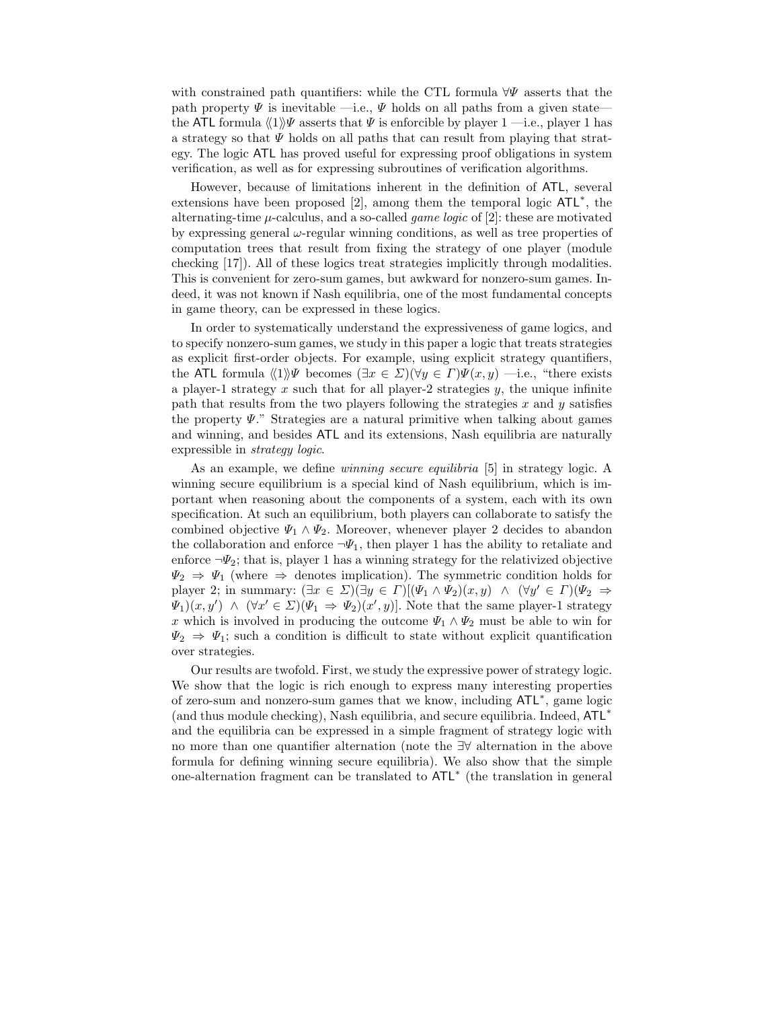with constrained path quantifiers: while the CTL formula  $\forall \Psi$  asserts that the path property  $\Psi$  is inevitable —i.e.,  $\Psi$  holds on all paths from a given statethe ATL formula  $\langle 1 \rangle \Psi$  asserts that  $\Psi$  is enforcible by player 1 —i.e., player 1 has a strategy so that  $\Psi$  holds on all paths that can result from playing that strategy. The logic ATL has proved useful for expressing proof obligations in system verification, as well as for expressing subroutines of verification algorithms.

However, because of limitations inherent in the definition of ATL, several extensions have been proposed [2], among them the temporal logic ATL<sup>\*</sup>, the alternating-time  $\mu$ -calculus, and a so-called *game logic* of [2]: these are motivated by expressing general  $\omega$ -regular winning conditions, as well as tree properties of computation trees that result from fixing the strategy of one player (module checking [17]). All of these logics treat strategies implicitly through modalities. This is convenient for zero-sum games, but awkward for nonzero-sum games. Indeed, it was not known if Nash equilibria, one of the most fundamental concepts in game theory, can be expressed in these logics.

In order to systematically understand the expressiveness of game logics, and to specify nonzero-sum games, we study in this paper a logic that treats strategies as explicit first-order objects. For example, using explicit strategy quantifiers, the ATL formula  $\langle \langle 1 \rangle \rangle \Psi$  becomes  $(\exists x \in \Sigma)(\forall y \in \Gamma) \Psi(x, y)$  —i.e., "there exists a player-1 strategy x such that for all player-2 strategies  $y$ , the unique infinite path that results from the two players following the strategies  $x$  and  $y$  satisfies the property  $\Psi$ ." Strategies are a natural primitive when talking about games and winning, and besides ATL and its extensions, Nash equilibria are naturally expressible in strategy logic.

As an example, we define winning secure equilibria [5] in strategy logic. A winning secure equilibrium is a special kind of Nash equilibrium, which is important when reasoning about the components of a system, each with its own specification. At such an equilibrium, both players can collaborate to satisfy the combined objective  $\Psi_1 \wedge \Psi_2$ . Moreover, whenever player 2 decides to abandon the collaboration and enforce  $\neg \Psi_1$ , then player 1 has the ability to retaliate and enforce  $\neg \Psi_2$ ; that is, player 1 has a winning strategy for the relativized objective  $\Psi_2 \Rightarrow \Psi_1$  (where  $\Rightarrow$  denotes implication). The symmetric condition holds for player 2; in summary:  $(\exists x \in \Sigma)(\exists y \in \Gamma)[(\Psi_1 \wedge \Psi_2)(x, y) \wedge (\forall y' \in \Gamma)(\Psi_2 \Rightarrow$  $\Psi_1(x, y') \wedge (\forall x' \in \Sigma)(\Psi_1 \Rightarrow \Psi_2)(x', y)].$  Note that the same player-1 strategy x which is involved in producing the outcome  $\Psi_1 \wedge \Psi_2$  must be able to win for  $\Psi_2 \Rightarrow \Psi_1$ ; such a condition is difficult to state without explicit quantification over strategies.

Our results are twofold. First, we study the expressive power of strategy logic. We show that the logic is rich enough to express many interesting properties of zero-sum and nonzero-sum games that we know, including  $ATL^*$ , game logic (and thus module checking), Nash equilibria, and secure equilibria. Indeed, ATL<sup>∗</sup> and the equilibria can be expressed in a simple fragment of strategy logic with no more than one quantifier alternation (note the ∃∀ alternation in the above formula for defining winning secure equilibria). We also show that the simple one-alternation fragment can be translated to ATL<sup>∗</sup> (the translation in general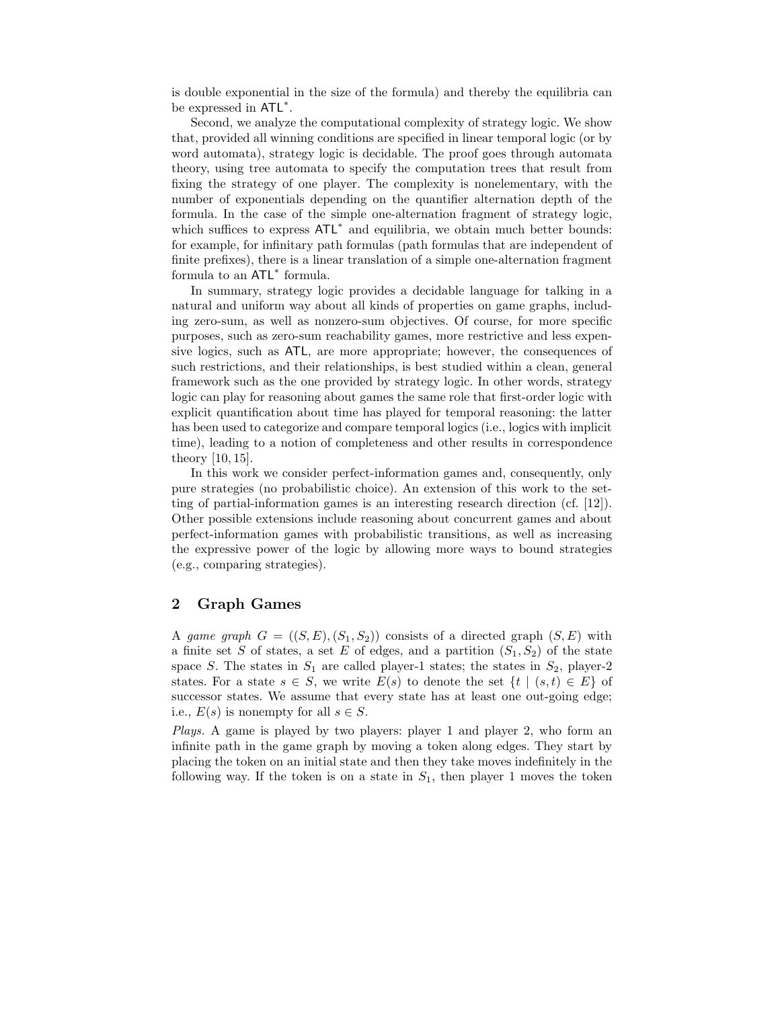is double exponential in the size of the formula) and thereby the equilibria can be expressed in ATL<sup>\*</sup>.

Second, we analyze the computational complexity of strategy logic. We show that, provided all winning conditions are specified in linear temporal logic (or by word automata), strategy logic is decidable. The proof goes through automata theory, using tree automata to specify the computation trees that result from fixing the strategy of one player. The complexity is nonelementary, with the number of exponentials depending on the quantifier alternation depth of the formula. In the case of the simple one-alternation fragment of strategy logic, which suffices to express  $ATL^*$  and equilibria, we obtain much better bounds: for example, for infinitary path formulas (path formulas that are independent of finite prefixes), there is a linear translation of a simple one-alternation fragment formula to an ATL<sup>\*</sup> formula.

In summary, strategy logic provides a decidable language for talking in a natural and uniform way about all kinds of properties on game graphs, including zero-sum, as well as nonzero-sum objectives. Of course, for more specific purposes, such as zero-sum reachability games, more restrictive and less expensive logics, such as ATL, are more appropriate; however, the consequences of such restrictions, and their relationships, is best studied within a clean, general framework such as the one provided by strategy logic. In other words, strategy logic can play for reasoning about games the same role that first-order logic with explicit quantification about time has played for temporal reasoning: the latter has been used to categorize and compare temporal logics (i.e., logics with implicit time), leading to a notion of completeness and other results in correspondence theory [10, 15].

In this work we consider perfect-information games and, consequently, only pure strategies (no probabilistic choice). An extension of this work to the setting of partial-information games is an interesting research direction (cf. [12]). Other possible extensions include reasoning about concurrent games and about perfect-information games with probabilistic transitions, as well as increasing the expressive power of the logic by allowing more ways to bound strategies (e.g., comparing strategies).

#### 2 Graph Games

A game graph  $G = ((S, E), (S_1, S_2))$  consists of a directed graph  $(S, E)$  with a finite set S of states, a set E of edges, and a partition  $(S_1, S_2)$  of the state space S. The states in  $S_1$  are called player-1 states; the states in  $S_2$ , player-2 states. For a state  $s \in S$ , we write  $E(s)$  to denote the set  $\{t \mid (s,t) \in E\}$  of successor states. We assume that every state has at least one out-going edge; i.e.,  $E(s)$  is nonempty for all  $s \in S$ .

Plays. A game is played by two players: player 1 and player 2, who form an infinite path in the game graph by moving a token along edges. They start by placing the token on an initial state and then they take moves indefinitely in the following way. If the token is on a state in  $S_1$ , then player 1 moves the token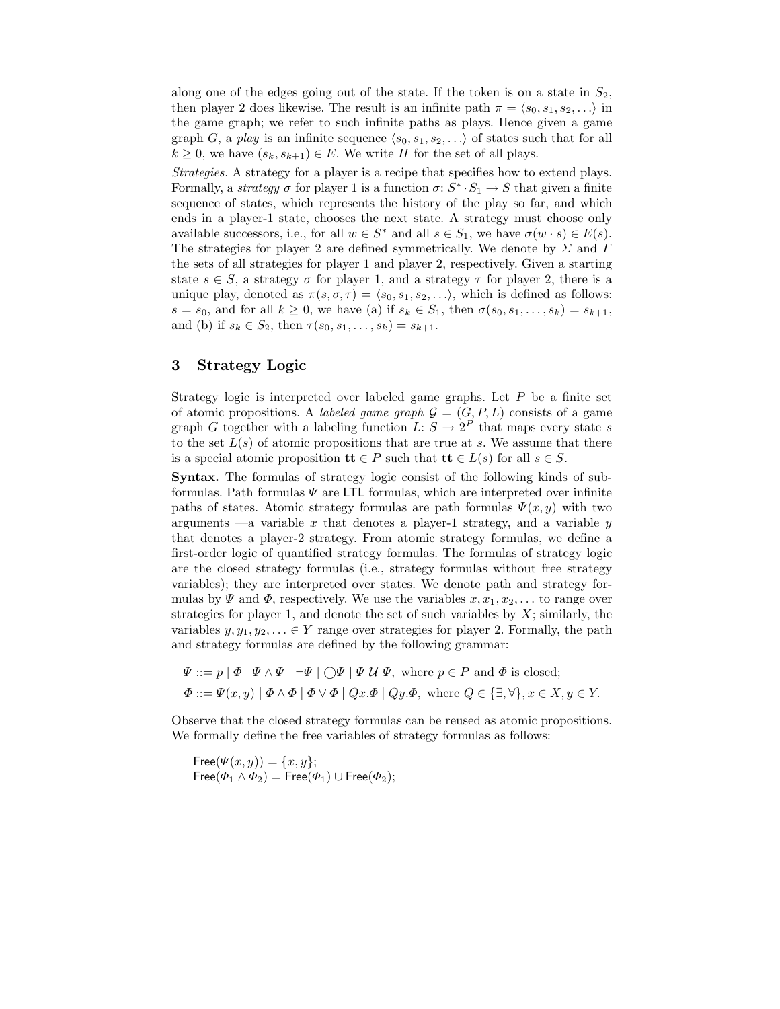along one of the edges going out of the state. If the token is on a state in  $S_2$ , then player 2 does likewise. The result is an infinite path  $\pi = \langle s_0, s_1, s_2, \ldots \rangle$  in the game graph; we refer to such infinite paths as plays. Hence given a game graph G, a play is an infinite sequence  $\langle s_0, s_1, s_2, \ldots \rangle$  of states such that for all  $k \geq 0$ , we have  $(s_k, s_{k+1}) \in E$ . We write  $\Pi$  for the set of all plays.

Strategies. A strategy for a player is a recipe that specifies how to extend plays. Formally, a *strategy*  $\sigma$  for player 1 is a function  $\sigma: S^* \cdot S_1 \to S$  that given a finite sequence of states, which represents the history of the play so far, and which ends in a player-1 state, chooses the next state. A strategy must choose only available successors, i.e., for all  $w \in S^*$  and all  $s \in S_1$ , we have  $\sigma(w \cdot s) \in E(s)$ . The strategies for player 2 are defined symmetrically. We denote by  $\Sigma$  and  $\Gamma$ the sets of all strategies for player 1 and player 2, respectively. Given a starting state  $s \in S$ , a strategy  $\sigma$  for player 1, and a strategy  $\tau$  for player 2, there is a unique play, denoted as  $\pi(s, \sigma, \tau) = \langle s_0, s_1, s_2, \ldots \rangle$ , which is defined as follows:  $s = s_0$ , and for all  $k \geq 0$ , we have (a) if  $s_k \in S_1$ , then  $\sigma(s_0, s_1, \ldots, s_k) = s_{k+1}$ , and (b) if  $s_k \in S_2$ , then  $\tau(s_0, s_1, \ldots, s_k) = s_{k+1}$ .

## 3 Strategy Logic

Strategy logic is interpreted over labeled game graphs. Let  $P$  be a finite set of atomic propositions. A *labeled game graph*  $\mathcal{G} = (G, P, L)$  consists of a game graph G together with a labeling function  $L: S \to 2^P$  that maps every state s to the set  $L(s)$  of atomic propositions that are true at s. We assume that there is a special atomic proposition  $\mathbf{tt} \in P$  such that  $\mathbf{tt} \in L(s)$  for all  $s \in S$ .

Syntax. The formulas of strategy logic consist of the following kinds of subformulas. Path formulas  $\Psi$  are LTL formulas, which are interpreted over infinite paths of states. Atomic strategy formulas are path formulas  $\Psi(x, y)$  with two arguments —a variable x that denotes a player-1 strategy, and a variable  $y$ that denotes a player-2 strategy. From atomic strategy formulas, we define a first-order logic of quantified strategy formulas. The formulas of strategy logic are the closed strategy formulas (i.e., strategy formulas without free strategy variables); they are interpreted over states. We denote path and strategy formulas by  $\Psi$  and  $\Phi$ , respectively. We use the variables  $x, x_1, x_2, \ldots$  to range over strategies for player 1, and denote the set of such variables by  $X$ ; similarly, the variables  $y, y_1, y_2, \ldots \in Y$  range over strategies for player 2. Formally, the path and strategy formulas are defined by the following grammar:

$$
\Psi ::= p | \Phi | \Psi \wedge \Psi | \neg \Psi | \bigcirc \Psi | \Psi \mathcal{U} \Psi
$$
, where  $p \in P$  and  $\Phi$  is closed;  
\n
$$
\Phi ::= \Psi(x, y) | \Phi \wedge \Phi | \Phi \vee \Phi | Qx. \Phi | Qy. \Phi
$$
, where  $Q \in {\exists, \forall}$ ,  $x \in X, y \in Y$ .

Observe that the closed strategy formulas can be reused as atomic propositions. We formally define the free variables of strategy formulas as follows:

 $Free(\Psi(x,y)) = \{x,y\};$  $Free(\Phi_1 \wedge \Phi_2)$  = Free $(\Phi_1)$  ∪ Free $(\Phi_2)$ ;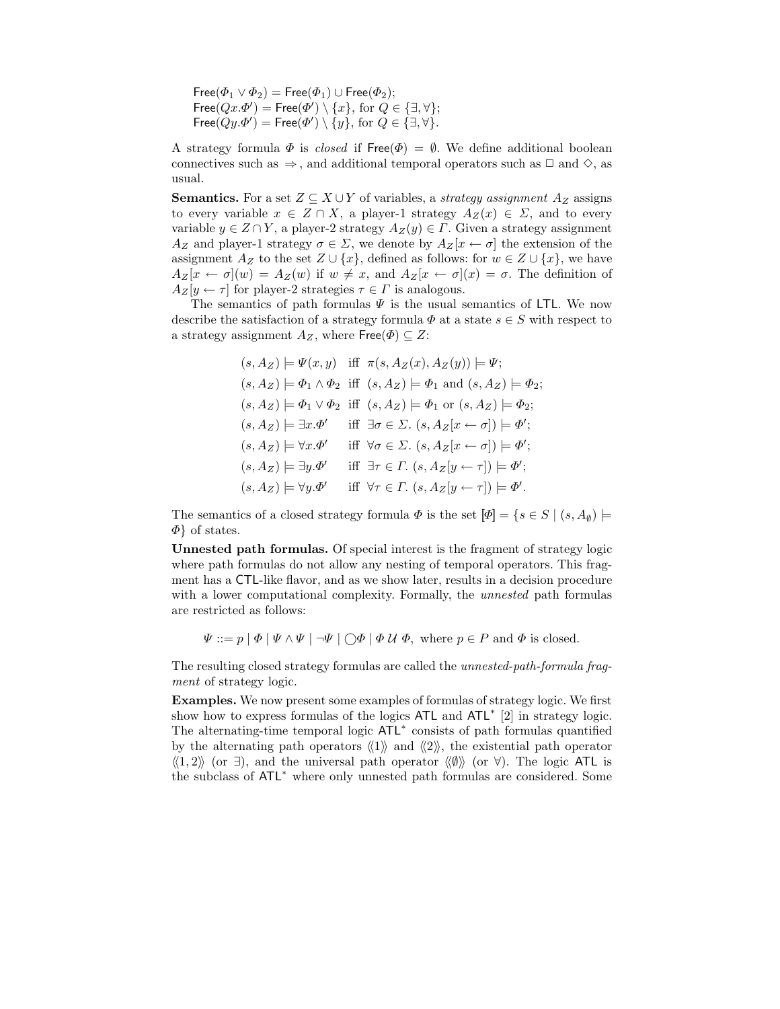$Free(\Phi_1 \vee \Phi_2) = Free(\Phi_1) \cup Free(\Phi_2);$ Free $(Qx.\Phi') = \mathsf{Free}(\Phi') \setminus \{x\}$ , for  $Q \in \{\exists, \forall\};$ Free $(Qy.\Phi') = \text{Free}(\Phi') \setminus \{y\}$ , for  $Q \in \{\exists, \forall\}.$ 

A strategy formula  $\Phi$  is *closed* if Free( $\Phi$ ) =  $\emptyset$ . We define additional boolean connectives such as  $\Rightarrow$ , and additional temporal operators such as  $\Box$  and  $\diamondsuit$ , as usual.

**Semantics.** For a set  $Z \subseteq X \cup Y$  of variables, a *strategy assignment*  $A_Z$  assigns to every variable  $x \in Z \cap X$ , a player-1 strategy  $A_Z(x) \in \Sigma$ , and to every variable  $y \in Z \cap Y$ , a player-2 strategy  $A_Z(y) \in \Gamma$ . Given a strategy assignment  $A_Z$  and player-1 strategy  $\sigma \in \Sigma$ , we denote by  $A_Z[x \leftarrow \sigma]$  the extension of the assignment  $A_Z$  to the set  $Z \cup \{x\}$ , defined as follows: for  $w \in Z \cup \{x\}$ , we have  $A_Z[x \leftarrow \sigma](w) = A_Z(w)$  if  $w \neq x$ , and  $A_Z[x \leftarrow \sigma](x) = \sigma$ . The definition of  $A_Z[y \leftarrow \tau]$  for player-2 strategies  $\tau \in \Gamma$  is analogous.

The semantics of path formulas  $\Psi$  is the usual semantics of LTL. We now describe the satisfaction of a strategy formula  $\Phi$  at a state  $s \in S$  with respect to a strategy assignment  $A_Z$ , where Free( $\Phi$ )  $\subseteq Z$ :

$$
(s, A_Z) \models \Psi(x, y) \text{ iff } \pi(s, A_Z(x), A_Z(y)) \models \Psi;
$$
  
\n
$$
(s, A_Z) \models \Phi_1 \land \Phi_2 \text{ iff } (s, A_Z) \models \Phi_1 \text{ and } (s, A_Z) \models \Phi_2;
$$
  
\n
$$
(s, A_Z) \models \Phi_1 \lor \Phi_2 \text{ iff } (s, A_Z) \models \Phi_1 \text{ or } (s, A_Z) \models \Phi_2;
$$
  
\n
$$
(s, A_Z) \models \exists x. \Phi' \text{ iff } \exists \sigma \in \Sigma. \ (s, A_Z[x \leftarrow \sigma]) \models \Phi';
$$
  
\n
$$
(s, A_Z) \models \forall x. \Phi' \text{ iff } \forall \sigma \in \Sigma. \ (s, A_Z[x \leftarrow \sigma]) \models \Phi';
$$
  
\n
$$
(s, A_Z) \models \exists y. \Phi' \text{ iff } \exists \tau \in \Gamma. \ (s, A_Z[y \leftarrow \tau]) \models \Phi';
$$
  
\n
$$
(s, A_Z) \models \forall y. \Phi' \text{ iff } \forall \tau \in \Gamma. \ (s, A_Z[y \leftarrow \tau]) \models \Phi'.
$$

The semantics of a closed strategy formula  $\Phi$  is the set  $[\Phi] = \{s \in S \mid (s, A_{\emptyset}) \models$  $\Phi$  of states.

Unnested path formulas. Of special interest is the fragment of strategy logic where path formulas do not allow any nesting of temporal operators. This fragment has a CTL-like flavor, and as we show later, results in a decision procedure with a lower computational complexity. Formally, the *unnested* path formulas are restricted as follows:

 $\Psi ::= p | \Phi | \Psi \wedge \Psi | \neg \Psi | \bigcirc \Phi | \Phi \mathcal{U} \Phi$ , where  $p \in P$  and  $\Phi$  is closed.

The resulting closed strategy formulas are called the unnested-path-formula fragment of strategy logic.

Examples. We now present some examples of formulas of strategy logic. We first show how to express formulas of the logics ATL and ATL<sup>\*</sup> [2] in strategy logic. The alternating-time temporal logic ATL<sup>∗</sup> consists of path formulas quantified by the alternating path operators  $\langle\langle 1 \rangle\rangle$  and  $\langle\langle 2 \rangle\rangle$ , the existential path operator  $\langle 1, 2 \rangle$  (or ∃), and the universal path operator  $\langle \langle \emptyset \rangle \rangle$  (or  $\forall$ ). The logic ATL is the subclass of ATL<sup>∗</sup> where only unnested path formulas are considered. Some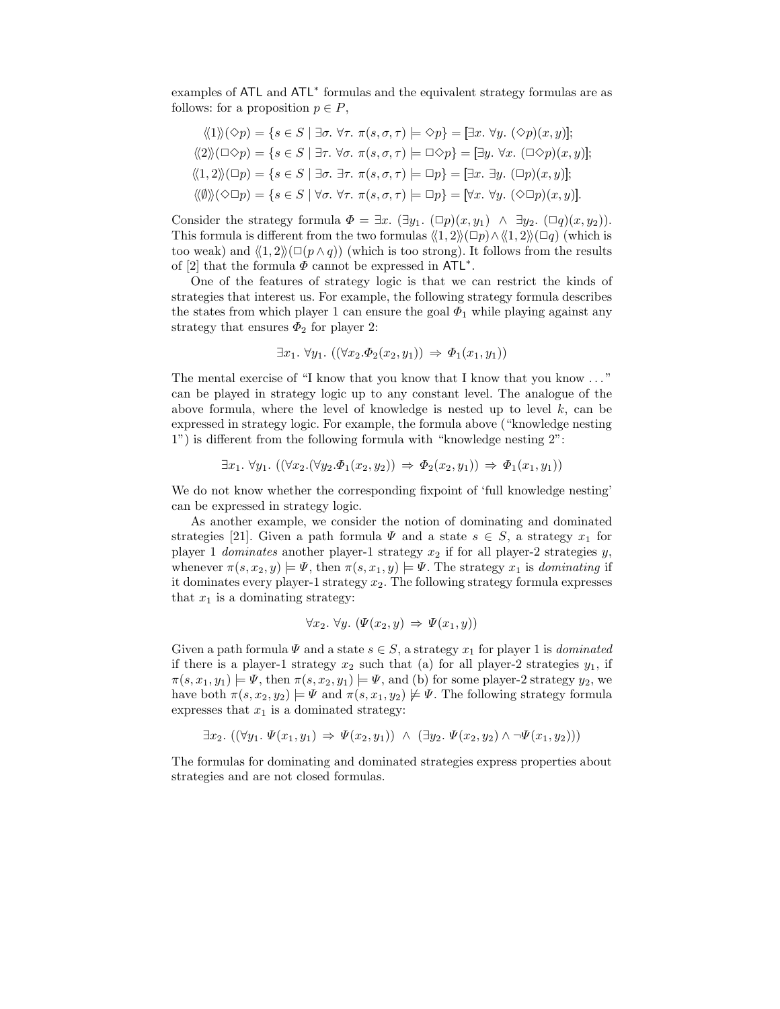examples of ATL and ATL<sup>\*</sup> formulas and the equivalent strategy formulas are as follows: for a proposition  $p \in P$ ,

$$
\langle\!\langle 1 \rangle\!\rangle(\Diamond p) = \{ s \in S \mid \exists \sigma. \forall \tau. \ \pi(s, \sigma, \tau) \models \Diamond p \} = [\exists x. \ \forall y. \ (\Diamond p)(x, y)];
$$

$$
\langle\!\langle 2 \rangle\!\rangle(\Box \Diamond p) = \{ s \in S \mid \exists \tau. \ \forall \sigma. \ \pi(s, \sigma, \tau) \models \Box \Diamond p \} = [\exists y. \ \forall x. \ (\Box \Diamond p)(x, y)];
$$

$$
\langle\!\langle 1, 2 \rangle\!\rangle(\Box p) = \{ s \in S \mid \exists \sigma. \ \exists \tau. \ \pi(s, \sigma, \tau) \models \Box p \} = [\exists x. \ \exists y. \ (\Box p)(x, y)];
$$

$$
\langle\!\langle \emptyset \rangle\!\rangle(\Diamond \Box p) = \{ s \in S \mid \forall \sigma. \ \forall \tau. \ \pi(s, \sigma, \tau) \models \Box p \} = [\forall x. \ \forall y. \ (\Diamond \Box p)(x, y)].
$$

Consider the strategy formula  $\Phi = \exists x \in (\exists y_1, (\Box p)(x, y_1) \land \exists y_2, (\Box q)(x, y_2)).$ This formula is different from the two formulas  $\langle 1, 2 \rangle (\square p) \wedge \langle 1, 2 \rangle (\square q)$  (which is too weak) and  $\langle 1, 2 \rangle (\square(p \wedge q))$  (which is too strong). It follows from the results of [2] that the formula  $\bar{\Phi}$  cannot be expressed in ATL<sup>\*</sup>.

One of the features of strategy logic is that we can restrict the kinds of strategies that interest us. For example, the following strategy formula describes the states from which player 1 can ensure the goal  $\Phi_1$  while playing against any strategy that ensures  $\Phi_2$  for player 2:

$$
\exists x_1. \forall y_1. ((\forall x_2.\Phi_2(x_2, y_1)) \Rightarrow \Phi_1(x_1, y_1))
$$

The mental exercise of "I know that you know that I know that you know  $\ldots$  " can be played in strategy logic up to any constant level. The analogue of the above formula, where the level of knowledge is nested up to level  $k$ , can be expressed in strategy logic. For example, the formula above ("knowledge nesting 1") is different from the following formula with "knowledge nesting 2":

$$
\exists x_1. \ \forall y_1. \ ((\forall x_2.(\forall y_2.\Phi_1(x_2,y_2)) \Rightarrow \Phi_2(x_2,y_1)) \Rightarrow \Phi_1(x_1,y_1))
$$

We do not know whether the corresponding fixpoint of 'full knowledge nesting' can be expressed in strategy logic.

As another example, we consider the notion of dominating and dominated strategies [21]. Given a path formula  $\Psi$  and a state  $s \in S$ , a strategy  $x_1$  for player 1 *dominates* another player-1 strategy  $x_2$  if for all player-2 strategies y, whenever  $\pi(s, x_2, y) \models \Psi$ , then  $\pi(s, x_1, y) \models \Psi$ . The strategy  $x_1$  is dominating if it dominates every player-1 strategy  $x_2$ . The following strategy formula expresses that  $x_1$  is a dominating strategy:

$$
\forall x_2. \forall y. (\Psi(x_2, y) \Rightarrow \Psi(x_1, y))
$$

Given a path formula  $\Psi$  and a state  $s \in S$ , a strategy  $x_1$  for player 1 is *dominated* if there is a player-1 strategy  $x_2$  such that (a) for all player-2 strategies  $y_1$ , if  $\pi(s, x_1, y_1) \models \Psi$ , then  $\pi(s, x_2, y_1) \models \Psi$ , and (b) for some player-2 strategy  $y_2$ , we have both  $\pi(s, x_2, y_2) \models \Psi$  and  $\pi(s, x_1, y_2) \not\models \Psi$ . The following strategy formula expresses that  $x_1$  is a dominated strategy:

$$
\exists x_2. ((\forall y_1. \Psi(x_1, y_1) \Rightarrow \Psi(x_2, y_1)) \land (\exists y_2. \Psi(x_2, y_2) \land \neg \Psi(x_1, y_2)))
$$

The formulas for dominating and dominated strategies express properties about strategies and are not closed formulas.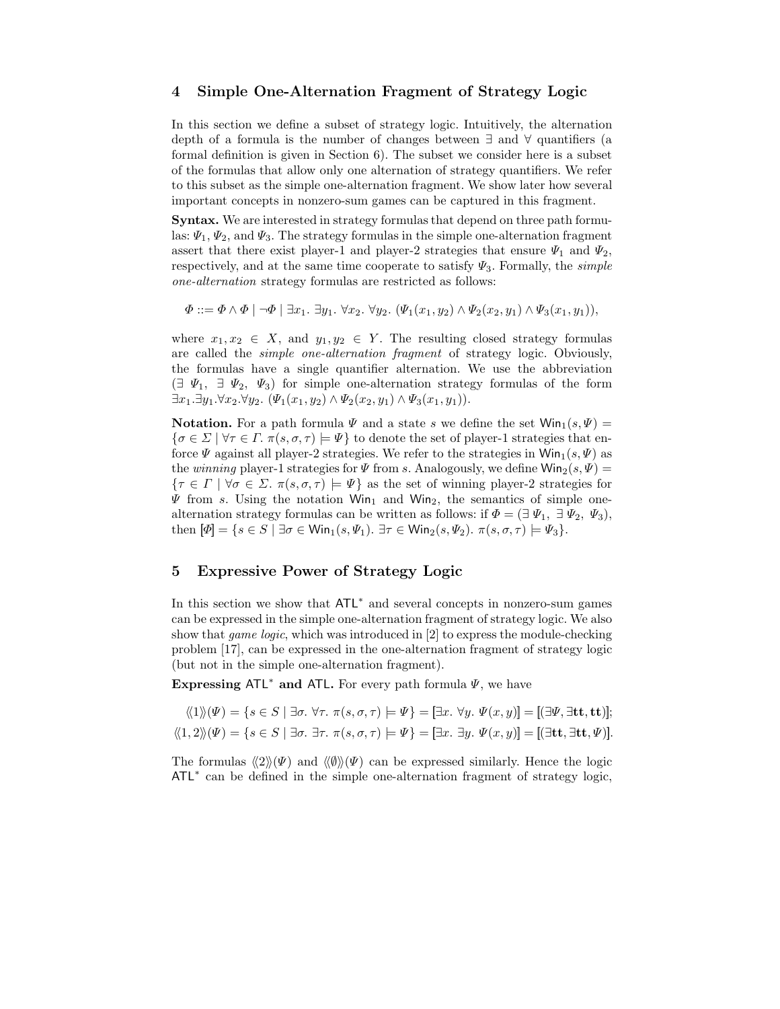#### 4 Simple One-Alternation Fragment of Strategy Logic

In this section we define a subset of strategy logic. Intuitively, the alternation depth of a formula is the number of changes between ∃ and ∀ quantifiers (a formal definition is given in Section 6). The subset we consider here is a subset of the formulas that allow only one alternation of strategy quantifiers. We refer to this subset as the simple one-alternation fragment. We show later how several important concepts in nonzero-sum games can be captured in this fragment.

Syntax. We are interested in strategy formulas that depend on three path formulas:  $\Psi_1, \Psi_2$ , and  $\Psi_3$ . The strategy formulas in the simple one-alternation fragment assert that there exist player-1 and player-2 strategies that ensure  $\Psi_1$  and  $\Psi_2$ , respectively, and at the same time cooperate to satisfy  $\Psi_3$ . Formally, the *simple* one-alternation strategy formulas are restricted as follows:

 $\Phi ::= \Phi \wedge \Phi \mid \neg \Phi \mid \exists x_1. \exists y_1. \forall x_2. \forall y_2. (\Psi_1(x_1, y_2) \wedge \Psi_2(x_2, y_1) \wedge \Psi_3(x_1, y_1)),$ 

where  $x_1, x_2 \in X$ , and  $y_1, y_2 \in Y$ . The resulting closed strategy formulas are called the simple one-alternation fragment of strategy logic. Obviously, the formulas have a single quantifier alternation. We use the abbreviation  $(\exists \Psi_1, \exists \Psi_2, \Psi_3)$  for simple one-alternation strategy formulas of the form  $\exists x_1.\exists y_1.\forall x_2.\forall y_2.$   $(\Psi_1(x_1,y_2) \land \Psi_2(x_2,y_1) \land \Psi_3(x_1,y_1)).$ 

**Notation.** For a path formula  $\Psi$  and a state s we define the set  $W$ in<sub>1</sub> $(s, \Psi)$  =  ${\sigma \in \Sigma \mid \forall \tau \in \Gamma \ \pi(s,\sigma, \tau) \models \Psi}$  to denote the set of player-1 strategies that enforce  $\Psi$  against all player-2 strategies. We refer to the strategies in Win<sub>1</sub>(s,  $\Psi$ ) as the winning player-1 strategies for  $\Psi$  from s. Analogously, we define  $\textsf{Win}_2(s, \Psi)$  =  ${\tau \in \Gamma \mid \forall \sigma \in \Sigma \cdot \pi(s, \sigma, \tau) \models \Psi}$  as the set of winning player-2 strategies for  $\Psi$  from s. Using the notation Win<sub>1</sub> and Win<sub>2</sub>, the semantics of simple onealternation strategy formulas can be written as follows: if  $\Phi = (\exists \Psi_1, \exists \Psi_2, \Psi_3)$ , then  $[\Phi] = \{s \in S \mid \exists \sigma \in \text{Win}_1(s, \Psi_1) \ldots \exists \tau \in \text{Win}_2(s, \Psi_2) \ldots \pi(s, \sigma, \tau) \models \Psi_3\}.$ 

#### 5 Expressive Power of Strategy Logic

In this section we show that ATL<sup>∗</sup> and several concepts in nonzero-sum games can be expressed in the simple one-alternation fragment of strategy logic. We also show that game logic, which was introduced in [2] to express the module-checking problem [17], can be expressed in the one-alternation fragment of strategy logic (but not in the simple one-alternation fragment).

Expressing ATL<sup>\*</sup> and ATL. For every path formula  $\Psi$ , we have

$$
\langle\!\langle 1 \rangle\!\rangle(\Psi) = \{ s \in S \mid \exists \sigma. \ \forall \tau. \ \pi(s, \sigma, \tau) \models \Psi \} = [\exists x. \ \forall y. \ \Psi(x, y)] = [(\exists \Psi, \exists \mathbf{tt}, \mathbf{tt})];
$$
  

$$
\langle\!\langle 1, 2 \rangle\!\rangle(\Psi) = \{ s \in S \mid \exists \sigma. \ \exists \tau. \ \pi(s, \sigma, \tau) \models \Psi \} = [\exists x. \ \exists y. \ \Psi(x, y)] = [(\exists \mathbf{tt}, \exists \mathbf{tt}, \Psi)].
$$

The formulas  $\langle 2 \rangle \langle \Psi \rangle$  and  $\langle \langle \emptyset \rangle \rangle \langle \Psi \rangle$  can be expressed similarly. Hence the logic ATL<sup>∗</sup> can be defined in the simple one-alternation fragment of strategy logic,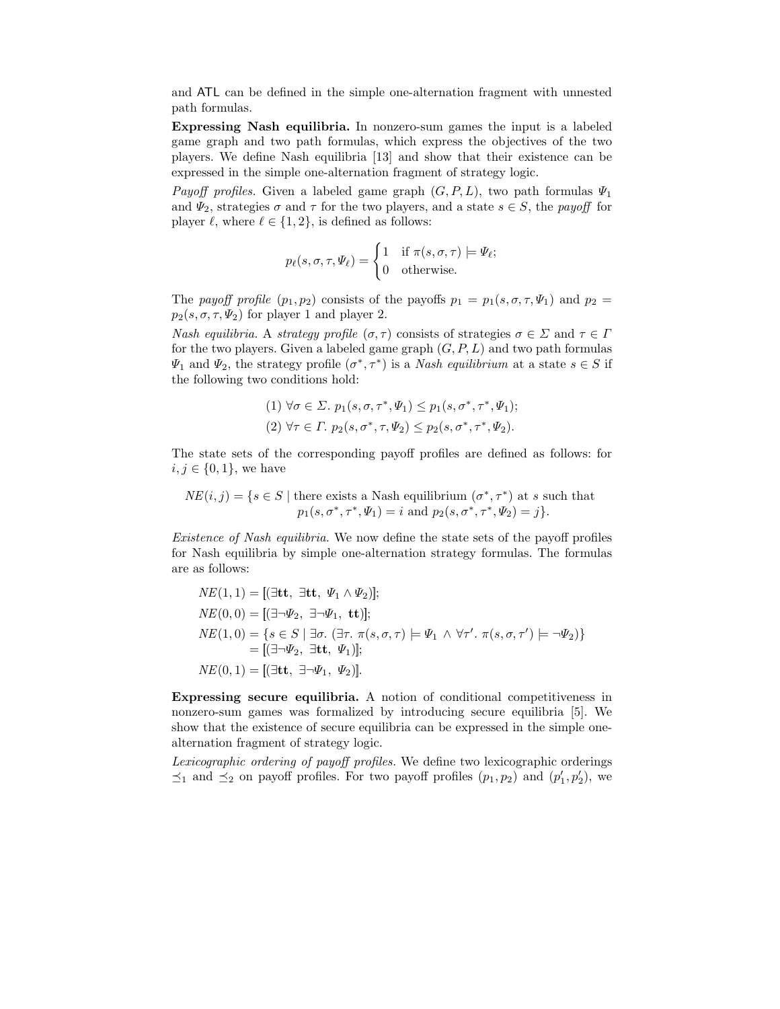and ATL can be defined in the simple one-alternation fragment with unnested path formulas.

Expressing Nash equilibria. In nonzero-sum games the input is a labeled game graph and two path formulas, which express the objectives of the two players. We define Nash equilibria [13] and show that their existence can be expressed in the simple one-alternation fragment of strategy logic.

Payoff profiles. Given a labeled game graph  $(G, P, L)$ , two path formulas  $\Psi_1$ and  $\Psi_2$ , strategies  $\sigma$  and  $\tau$  for the two players, and a state  $s \in S$ , the payoff for player  $\ell$ , where  $\ell \in \{1, 2\}$ , is defined as follows:

$$
p_{\ell}(s, \sigma, \tau, \Psi_{\ell}) = \begin{cases} 1 & \text{if } \pi(s, \sigma, \tau) \models \Psi_{\ell}; \\ 0 & \text{otherwise.} \end{cases}
$$

The payoff profile  $(p_1, p_2)$  consists of the payoffs  $p_1 = p_1(s, \sigma, \tau, \Psi_1)$  and  $p_2 =$  $p_2(s, \sigma, \tau, \Psi_2)$  for player 1 and player 2.

Nash equilibria. A strategy profile  $(\sigma, \tau)$  consists of strategies  $\sigma \in \Sigma$  and  $\tau \in \Gamma$ for the two players. Given a labeled game graph  $(G, P, L)$  and two path formulas  $\Psi_1$  and  $\Psi_2$ , the strategy profile  $(\sigma^*, \tau^*)$  is a *Nash equilibrium* at a state  $s \in S$  if the following two conditions hold:

(1) 
$$
\forall \sigma \in \Sigma
$$
.  $p_1(s, \sigma, \tau^*, \Psi_1) \leq p_1(s, \sigma^*, \tau^*, \Psi_1);$   
(2)  $\forall \tau \in \Gamma$ .  $p_2(s, \sigma^*, \tau, \Psi_2) \leq p_2(s, \sigma^*, \tau^*, \Psi_2).$ 

The state sets of the corresponding payoff profiles are defined as follows: for  $i, j \in \{0, 1\}$ , we have

$$
NE(i, j) = \{s \in S \mid \text{there exists a Nash equilibrium } (\sigma^*, \tau^*) \text{ at } s \text{ such that } p_1(s, \sigma^*, \tau^*, \Psi_1) = i \text{ and } p_2(s, \sigma^*, \tau^*, \Psi_2) = j\}.
$$

Existence of Nash equilibria. We now define the state sets of the payoff profiles for Nash equilibria by simple one-alternation strategy formulas. The formulas are as follows:

$$
NE(1,1) = [(\exists \mathbf{t}, \exists \mathbf{t}, \Psi_1 \wedge \Psi_2)];
$$
  
\n
$$
NE(0,0) = [(\exists \neg \Psi_2, \exists \neg \Psi_1, \mathbf{t}];]
$$
  
\n
$$
NE(1,0) = \{s \in S \mid \exists \sigma. (\exists \tau. \pi(s, \sigma, \tau) \models \Psi_1 \wedge \forall \tau'. \pi(s, \sigma, \tau') \models \neg \Psi_2)\}
$$
  
\n
$$
= [(\exists \neg \Psi_2, \exists \mathbf{t}, \Psi_1)];
$$
  
\n
$$
NE(0,1) = [(\exists \mathbf{t}, \exists \neg \Psi_1, \Psi_2)].
$$

Expressing secure equilibria. A notion of conditional competitiveness in nonzero-sum games was formalized by introducing secure equilibria [5]. We show that the existence of secure equilibria can be expressed in the simple onealternation fragment of strategy logic.

Lexicographic ordering of payoff profiles. We define two lexicographic orderings  $\preceq_1$  and  $\preceq_2$  on payoff profiles. For two payoff profiles  $(p_1, p_2)$  and  $(p'_1, p'_2)$ , we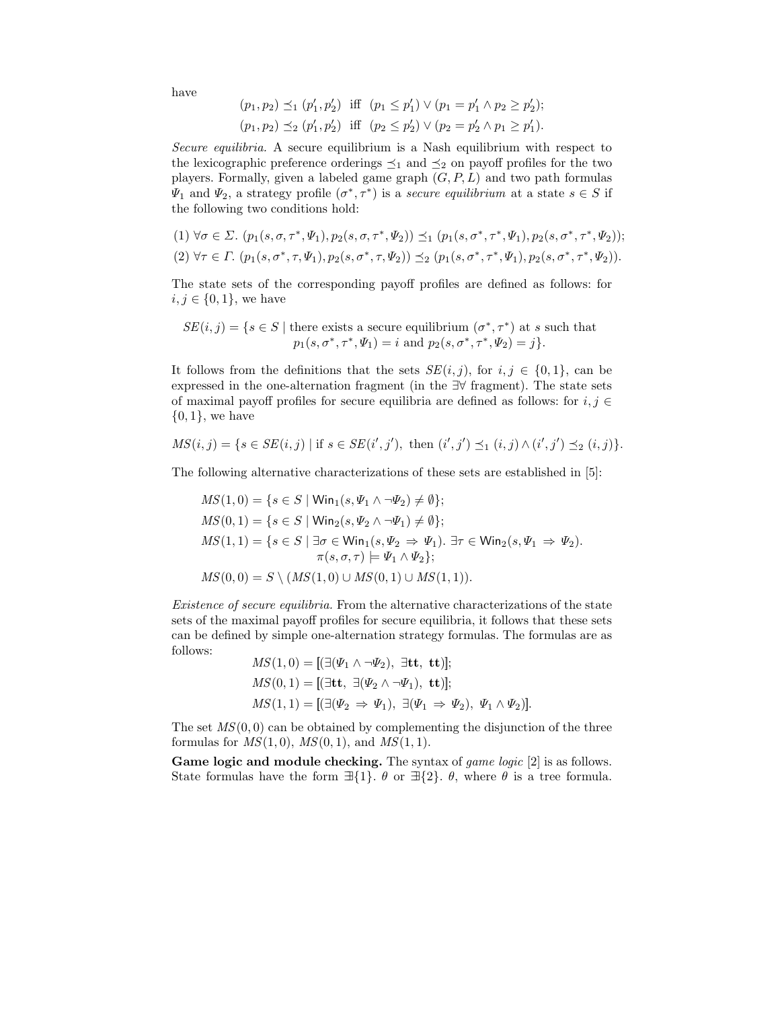have

$$
(p_1, p_2) \preceq_1 (p'_1, p'_2)
$$
 iff  $(p_1 \le p'_1) \vee (p_1 = p'_1 \wedge p_2 \ge p'_2);$   
\n $(p_1, p_2) \preceq_2 (p'_1, p'_2)$  iff  $(p_2 \le p'_2) \vee (p_2 = p'_2 \wedge p_1 \ge p'_1).$ 

Secure equilibria. A secure equilibrium is a Nash equilibrium with respect to the lexicographic preference orderings  $\preceq_1$  and  $\preceq_2$  on payoff profiles for the two players. Formally, given a labeled game graph  $(G, P, L)$  and two path formulas  $\Psi_1$  and  $\Psi_2$ , a strategy profile  $(\sigma^*, \tau^*)$  is a *secure equilibrium* at a state  $s \in S$  if the following two conditions hold:

$$
(1) \forall \sigma \in \Sigma. \ (p_1(s, \sigma, \tau^*, \Psi_1), p_2(s, \sigma, \tau^*, \Psi_2)) \preceq_1 (p_1(s, \sigma^*, \tau^*, \Psi_1), p_2(s, \sigma^*, \tau^*, \Psi_2));
$$
  

$$
(2) \forall \tau \in \Gamma. \ (p_1(s, \sigma^*, \tau, \Psi_1), p_2(s, \sigma^*, \tau, \Psi_2)) \preceq_2 (p_1(s, \sigma^*, \tau^*, \Psi_1), p_2(s, \sigma^*, \tau^*, \Psi_2)).
$$

The state sets of the corresponding payoff profiles are defined as follows: for  $i, j \in \{0, 1\}$ , we have

$$
SE(i, j) = \{ s \in S \mid \text{there exists a secure equilibrium } (\sigma^*, \tau^*) \text{ at } s \text{ such that } p_1(s, \sigma^*, \tau^*, \Psi_1) = i \text{ and } p_2(s, \sigma^*, \tau^*, \Psi_2) = j \}.
$$

It follows from the definitions that the sets  $SE(i, j)$ , for  $i, j \in \{0, 1\}$ , can be expressed in the one-alternation fragment (in the ∃∀ fragment). The state sets of maximal payoff profiles for secure equilibria are defined as follows: for  $i, j \in$  $\{0, 1\}$ , we have

$$
MS(i,j) = \{ s \in SE(i,j) \mid \text{if } s \in SE(i',j'), \text{ then } (i',j') \preceq_1 (i,j) \land (i',j') \preceq_2 (i,j) \}.
$$

The following alternative characterizations of these sets are established in [5]:

$$
MS(1,0) = \{s \in S \mid \text{Win}_1(s, \Psi_1 \land \neg \Psi_2) \neq \emptyset\};
$$
  
\n
$$
MS(0,1) = \{s \in S \mid \text{Win}_2(s, \Psi_2 \land \neg \Psi_1) \neq \emptyset\};
$$
  
\n
$$
MS(1,1) = \{s \in S \mid \exists \sigma \in \text{Win}_1(s, \Psi_2 \Rightarrow \Psi_1). \exists \tau \in \text{Win}_2(s, \Psi_1 \Rightarrow \Psi_2). \newline \pi(s, \sigma, \tau) \models \Psi_1 \land \Psi_2\};
$$
  
\n
$$
MS(0,0) = S \setminus (MS(1,0) \cup MS(0,1) \cup MS(1,1)).
$$

Existence of secure equilibria. From the alternative characterizations of the state sets of the maximal payoff profiles for secure equilibria, it follows that these sets can be defined by simple one-alternation strategy formulas. The formulas are as follows:

$$
MS(1,0) = [(\exists (\Psi_1 \land \neg \Psi_2), \exists \mathbf{tt}, \mathbf{tt})];
$$
  
\n
$$
MS(0,1) = [(\exists \mathbf{tt}, \exists (\Psi_2 \land \neg \Psi_1), \mathbf{tt})];
$$
  
\n
$$
MS(1,1) = [(\exists (\Psi_2 \Rightarrow \Psi_1), \exists (\Psi_1 \Rightarrow \Psi_2), \Psi_1 \land \Psi_2)].
$$

The set  $MS(0, 0)$  can be obtained by complementing the disjunction of the three formulas for  $MS(1, 0)$ ,  $MS(0, 1)$ , and  $MS(1, 1)$ .

Game logic and module checking. The syntax of game logic [2] is as follows. State formulas have the form  $\exists \{1\}$ .  $\theta$  or  $\exists \{2\}$ .  $\theta$ , where  $\theta$  is a tree formula.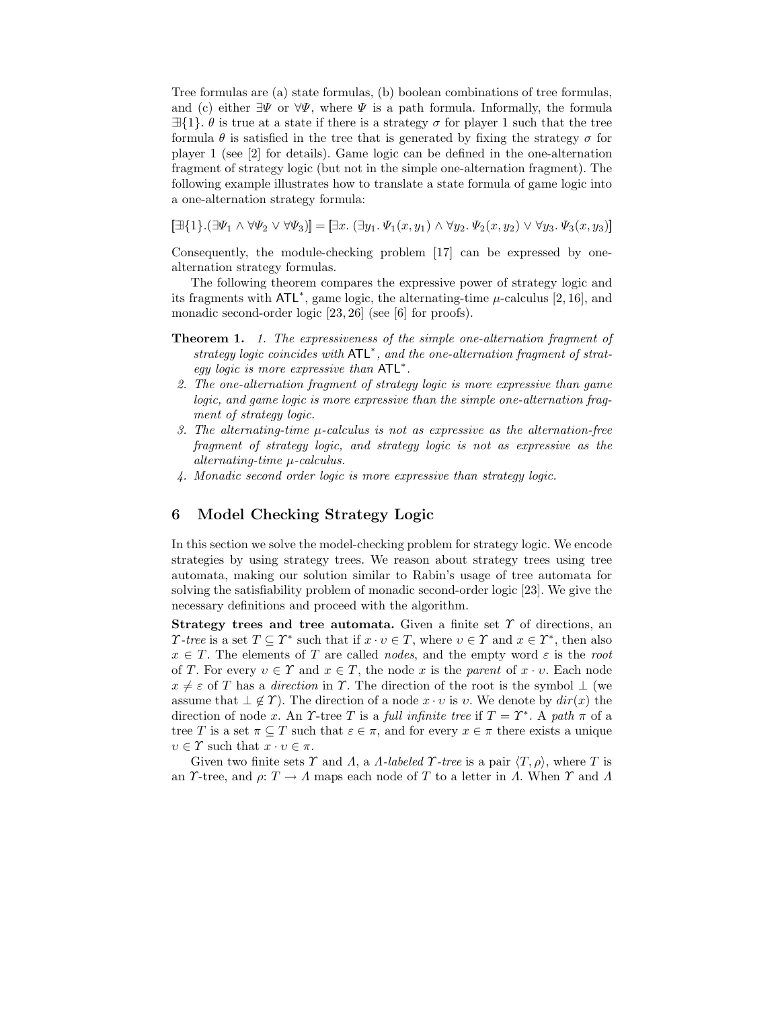Tree formulas are (a) state formulas, (b) boolean combinations of tree formulas, and (c) either  $\exists \Psi$  or  $\forall \Psi$ , where  $\Psi$  is a path formula. Informally, the formula  $\exists \{1\}$ .  $\theta$  is true at a state if there is a strategy  $\sigma$  for player 1 such that the tree formula  $\theta$  is satisfied in the tree that is generated by fixing the strategy  $\sigma$  for player 1 (see [2] for details). Game logic can be defined in the one-alternation fragment of strategy logic (but not in the simple one-alternation fragment). The following example illustrates how to translate a state formula of game logic into a one-alternation strategy formula:

 $[\exists \{1\}.(\exists \Psi_1 \wedge \forall \Psi_2 \vee \forall \Psi_3)] = [\exists x. (\exists y_1. \Psi_1(x, y_1) \wedge \forall y_2. \Psi_2(x, y_2) \vee \forall y_3. \Psi_3(x, y_3)]$ 

Consequently, the module-checking problem [17] can be expressed by onealternation strategy formulas.

The following theorem compares the expressive power of strategy logic and its fragments with  $ATL^*$ , game logic, the alternating-time  $\mu$ -calculus [2, 16], and monadic second-order logic [23, 26] (see [6] for proofs).

- Theorem 1. 1. The expressiveness of the simple one-alternation fragment of strategy logic coincides with ATL<sup>\*</sup>, and the one-alternation fragment of strategy logic is more expressive than ATL<sup>\*</sup>.
- 2. The one-alternation fragment of strategy logic is more expressive than game logic, and game logic is more expressive than the simple one-alternation fragment of strategy logic.
- 3. The alternating-time µ-calculus is not as expressive as the alternation-free fragment of strategy logic, and strategy logic is not as expressive as the alternating-time µ-calculus.
- 4. Monadic second order logic is more expressive than strategy logic.

## 6 Model Checking Strategy Logic

In this section we solve the model-checking problem for strategy logic. We encode strategies by using strategy trees. We reason about strategy trees using tree automata, making our solution similar to Rabin's usage of tree automata for solving the satisfiability problem of monadic second-order logic [23]. We give the necessary definitions and proceed with the algorithm.

Strategy trees and tree automata. Given a finite set  $\Upsilon$  of directions, an T-tree is a set  $T \subseteq \Upsilon^*$  such that if  $x \cdot v \in T$ , where  $v \in \Upsilon$  and  $x \in \Upsilon^*$ , then also  $x \in T$ . The elements of T are called nodes, and the empty word  $\varepsilon$  is the root of T. For every  $v \in \Upsilon$  and  $x \in T$ , the node x is the parent of  $x \cdot v$ . Each node  $x \neq \varepsilon$  of T has a direction in  $\Upsilon$ . The direction of the root is the symbol  $\bot$  (we assume that  $\perp \notin \Upsilon$ . The direction of a node  $x \cdot v$  is v. We denote by  $dir(x)$  the direction of node x. An  $\varUpsilon$ -tree T is a *full infinite tree* if  $T = \Upsilon^*$ . A path  $\pi$  of a tree T is a set  $\pi \subseteq T$  such that  $\varepsilon \in \pi$ , and for every  $x \in \pi$  there exists a unique  $v \in \Upsilon$  such that  $x \cdot v \in \pi$ .

Given two finite sets  $\Upsilon$  and  $\Lambda$ , a  $\Lambda$ -labeled  $\Upsilon$ -tree is a pair  $\langle T, \rho \rangle$ , where  $T$  is an  $\Upsilon$ -tree, and  $\rho: T \to \Lambda$  maps each node of T to a letter in  $\Lambda$ . When  $\Upsilon$  and  $\Lambda$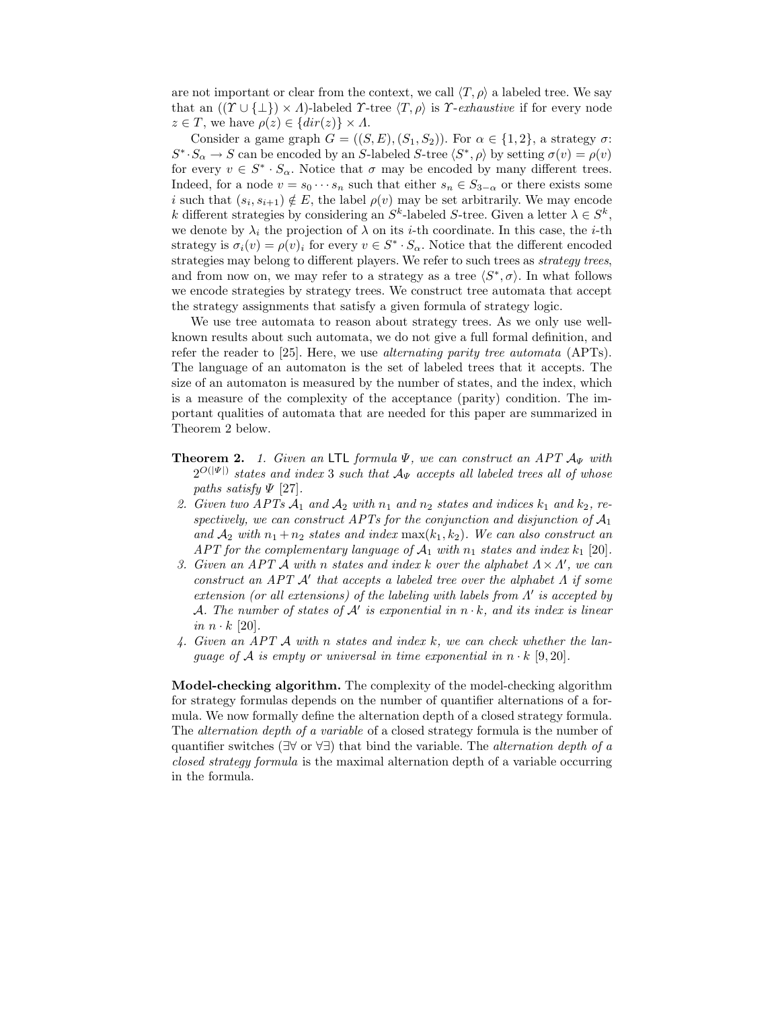are not important or clear from the context, we call  $\langle T, \rho \rangle$  a labeled tree. We say that an  $((\Upsilon \cup \{\bot\}) \times \Lambda)$ -labeled  $\Upsilon$ -tree  $\langle T, \rho \rangle$  is  $\Upsilon$ -exhaustive if for every node  $z \in T$ , we have  $\rho(z) \in \{dir(z)\} \times \Lambda$ .

Consider a game graph  $G = ((S, E), (S_1, S_2))$ . For  $\alpha \in \{1, 2\}$ , a strategy  $\sigma$ :  $S^* \cdot S_\alpha \to S$  can be encoded by an S-labeled S-tree  $\langle S^*, \rho \rangle$  by setting  $\sigma(v) = \rho(v)$ for every  $v \in S^* \cdot S_\alpha$ . Notice that  $\sigma$  may be encoded by many different trees. Indeed, for a node  $v = s_0 \cdots s_n$  such that either  $s_n \in S_{3-\alpha}$  or there exists some i such that  $(s_i, s_{i+1}) \notin E$ , the label  $\rho(v)$  may be set arbitrarily. We may encode k different strategies by considering an  $S^k$ -labeled S-tree. Given a letter  $\lambda \in S^k$ , we denote by  $\lambda_i$  the projection of  $\lambda$  on its *i*-th coordinate. In this case, the *i*-th strategy is  $\sigma_i(v) = \rho(v)_i$  for every  $v \in S^* \cdot S_\alpha$ . Notice that the different encoded strategies may belong to different players. We refer to such trees as strategy trees, and from now on, we may refer to a strategy as a tree  $\langle S^*, \sigma \rangle$ . In what follows we encode strategies by strategy trees. We construct tree automata that accept the strategy assignments that satisfy a given formula of strategy logic.

We use tree automata to reason about strategy trees. As we only use wellknown results about such automata, we do not give a full formal definition, and refer the reader to [25]. Here, we use alternating parity tree automata (APTs). The language of an automaton is the set of labeled trees that it accepts. The size of an automaton is measured by the number of states, and the index, which is a measure of the complexity of the acceptance (parity) condition. The important qualities of automata that are needed for this paper are summarized in Theorem 2 below.

- **Theorem 2.** 1. Given an LTL formula  $\Psi$ , we can construct an APT  $A_{\Psi}$  with  $2^{O(|\Psi|)}$  states and index 3 such that  $\mathcal{A}_{\Psi}$  accepts all labeled trees all of whose paths satisfy  $\Psi$  [27].
- 2. Given two APTs  $A_1$  and  $A_2$  with  $n_1$  and  $n_2$  states and indices  $k_1$  and  $k_2$ , respectively, we can construct APTs for the conjunction and disjunction of  $A_1$ and  $A_2$  with  $n_1 + n_2$  states and index  $\max(k_1, k_2)$ . We can also construct an APT for the complementary language of  $A_1$  with  $n_1$  states and index  $k_1$  [20].
- 3. Given an APT A with n states and index k over the alphabet  $\Lambda \times \Lambda'$ , we can construct an APT  $A'$  that accepts a labeled tree over the alphabet  $\Lambda$  if some extension (or all extensions) of the labeling with labels from  $\Lambda'$  is accepted by A. The number of states of  $\mathcal{A}'$  is exponential in  $n \cdot k$ , and its index is linear in  $n \cdot k$  [20].
- 4. Given an APT A with n states and index k, we can check whether the lanquage of A is empty or universal in time exponential in  $n \cdot k$  [9,20].

Model-checking algorithm. The complexity of the model-checking algorithm for strategy formulas depends on the number of quantifier alternations of a formula. We now formally define the alternation depth of a closed strategy formula. The *alternation depth of a variable* of a closed strategy formula is the number of quantifier switches ( $\exists \forall$  or  $\forall \exists$ ) that bind the variable. The *alternation depth of a* closed strategy formula is the maximal alternation depth of a variable occurring in the formula.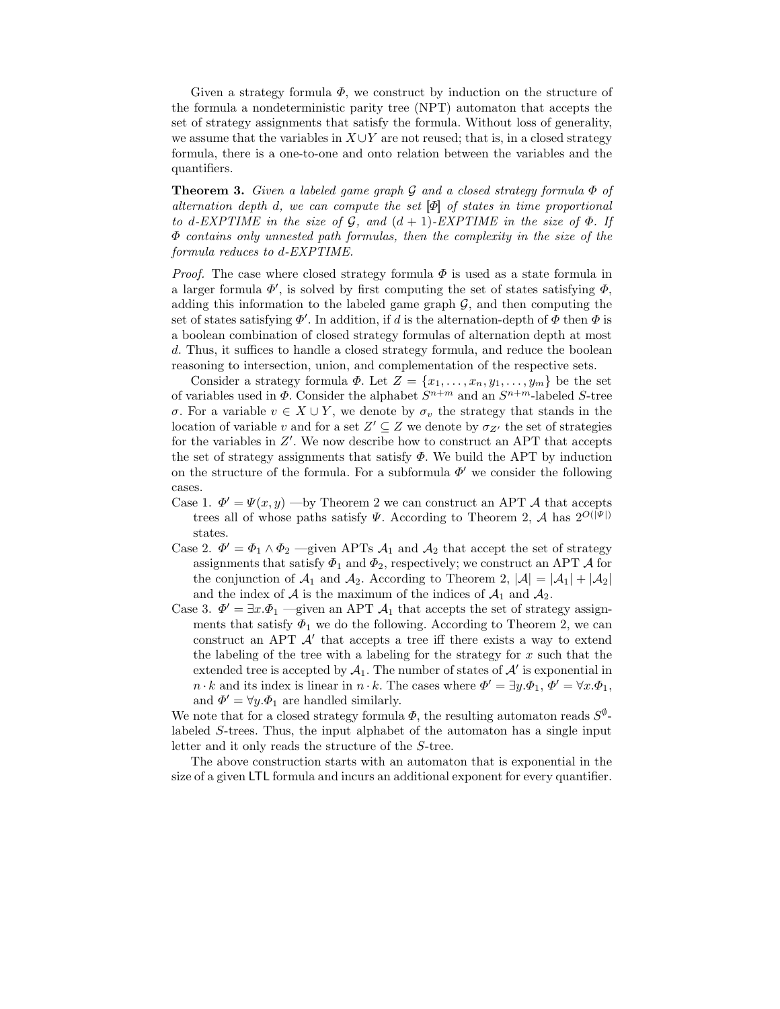Given a strategy formula  $\Phi$ , we construct by induction on the structure of the formula a nondeterministic parity tree (NPT) automaton that accepts the set of strategy assignments that satisfy the formula. Without loss of generality, we assume that the variables in  $X \cup Y$  are not reused; that is, in a closed strategy formula, there is a one-to-one and onto relation between the variables and the quantifiers.

**Theorem 3.** Given a labeled game graph G and a closed strategy formula  $\Phi$  of alternation depth d, we can compute the set  $[\Phi]$  of states in time proportional to d-EXPTIME in the size of G, and  $(d+1)$ -EXPTIME in the size of  $\Phi$ . If  $\Phi$  contains only unnested path formulas, then the complexity in the size of the formula reduces to d-EXPTIME.

*Proof.* The case where closed strategy formula  $\Phi$  is used as a state formula in a larger formula  $\Phi'$ , is solved by first computing the set of states satisfying  $\Phi$ , adding this information to the labeled game graph  $G$ , and then computing the set of states satisfying  $\Phi'$ . In addition, if d is the alternation-depth of  $\Phi$  then  $\Phi$  is a boolean combination of closed strategy formulas of alternation depth at most d. Thus, it suffices to handle a closed strategy formula, and reduce the boolean reasoning to intersection, union, and complementation of the respective sets.

Consider a strategy formula  $\Phi$ . Let  $Z = \{x_1, \ldots, x_n, y_1, \ldots, y_m\}$  be the set of variables used in  $\Phi$ . Consider the alphabet  $S^{n+m}$  and an  $S^{n+m}$ -labeled S-tree σ. For a variable  $v ∈ X ∪ Y$ , we denote by  $σ<sub>v</sub>$  the strategy that stands in the location of variable v and for a set  $Z' \subseteq Z$  we denote by  $\sigma_{Z'}$  the set of strategies for the variables in  $Z'$ . We now describe how to construct an APT that accepts the set of strategy assignments that satisfy  $\Phi$ . We build the APT by induction on the structure of the formula. For a subformula  $\Phi'$  we consider the following cases.

- Case 1.  $\Phi' = \Psi(x, y)$  —by Theorem 2 we can construct an APT A that accepts trees all of whose paths satisfy  $\Psi$ . According to Theorem 2, A has  $2^{O(|\Psi|)}$ states.
- Case 2.  $\Phi' = \Phi_1 \wedge \Phi_2$  —given APTs  $\mathcal{A}_1$  and  $\mathcal{A}_2$  that accept the set of strategy assignments that satisfy  $\Phi_1$  and  $\Phi_2$ , respectively; we construct an APT A for the conjunction of  $\mathcal{A}_1$  and  $\mathcal{A}_2$ . According to Theorem 2,  $|\mathcal{A}| = |\mathcal{A}_1| + |\mathcal{A}_2|$ and the index of  $A$  is the maximum of the indices of  $A_1$  and  $A_2$ .
- Case 3.  $\Phi' = \exists x \cdot \Phi_1$  —given an APT  $\mathcal{A}_1$  that accepts the set of strategy assignments that satisfy  $\Phi_1$  we do the following. According to Theorem 2, we can construct an APT  $A'$  that accepts a tree iff there exists a way to extend the labeling of the tree with a labeling for the strategy for  $x$  such that the extended tree is accepted by  $\mathcal{A}_1$ . The number of states of  $\mathcal{A}'$  is exponential in  $n \cdot k$  and its index is linear in  $n \cdot k$ . The cases where  $\Phi' = \exists y \cdot \Phi_1, \Phi' = \forall x \cdot \Phi_1$ , and  $\Phi' = \forall y \cdot \Phi_1$  are handled similarly.

We note that for a closed strategy formula  $\Phi$ , the resulting automaton reads  $S^{\emptyset}$ labeled S-trees. Thus, the input alphabet of the automaton has a single input letter and it only reads the structure of the S-tree.

The above construction starts with an automaton that is exponential in the size of a given LTL formula and incurs an additional exponent for every quantifier.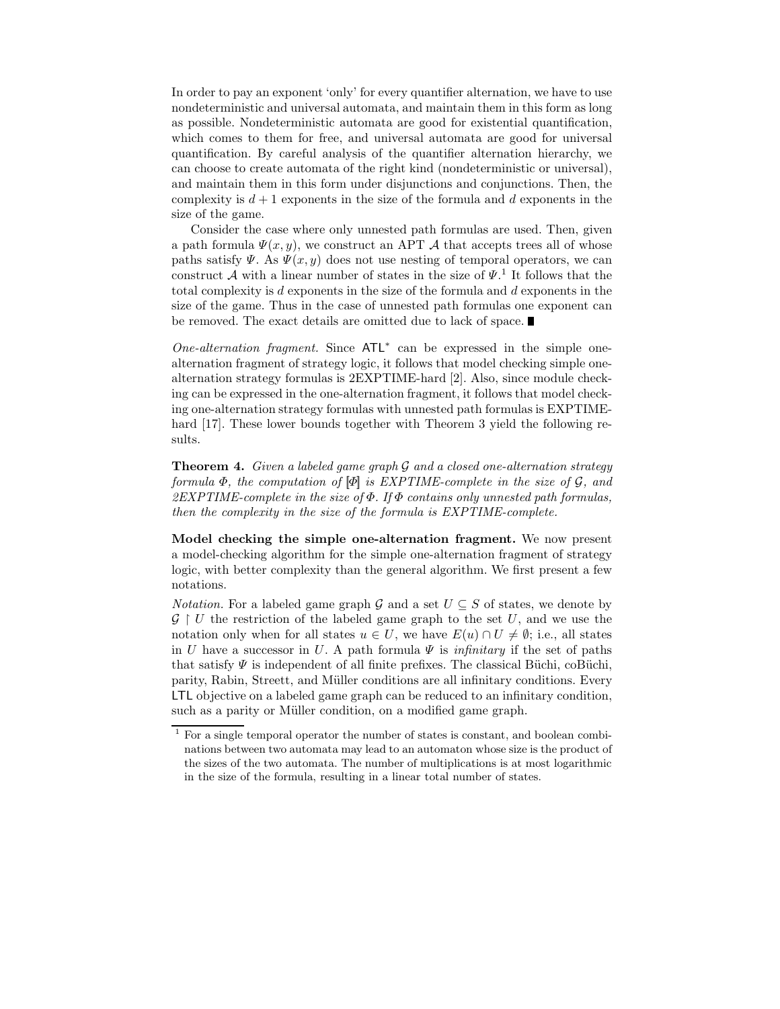In order to pay an exponent 'only' for every quantifier alternation, we have to use nondeterministic and universal automata, and maintain them in this form as long as possible. Nondeterministic automata are good for existential quantification, which comes to them for free, and universal automata are good for universal quantification. By careful analysis of the quantifier alternation hierarchy, we can choose to create automata of the right kind (nondeterministic or universal), and maintain them in this form under disjunctions and conjunctions. Then, the complexity is  $d+1$  exponents in the size of the formula and d exponents in the size of the game.

Consider the case where only unnested path formulas are used. Then, given a path formula  $\Psi(x, y)$ , we construct an APT A that accepts trees all of whose paths satisfy  $\Psi$ . As  $\Psi(x, y)$  does not use nesting of temporal operators, we can construct  $A$  with a linear number of states in the size of  $\Psi$ .<sup>1</sup> It follows that the total complexity is  $d$  exponents in the size of the formula and  $d$  exponents in the size of the game. Thus in the case of unnested path formulas one exponent can be removed. The exact details are omitted due to lack of space.

One-alternation fragment. Since ATL<sup>∗</sup> can be expressed in the simple onealternation fragment of strategy logic, it follows that model checking simple onealternation strategy formulas is 2EXPTIME-hard [2]. Also, since module checking can be expressed in the one-alternation fragment, it follows that model checking one-alternation strategy formulas with unnested path formulas is EXPTIMEhard [17]. These lower bounds together with Theorem 3 yield the following results.

**Theorem 4.** Given a labeled game graph  $\mathcal G$  and a closed one-alternation strategy formula  $\Phi$ , the computation of  $[\Phi]$  is EXPTIME-complete in the size of  $\mathcal{G}$ , and  $2EXPTIME-complete in the size of  $\Phi$ . If  $\Phi$  contains only un nested path formulas,$ then the complexity in the size of the formula is EXPTIME-complete.

Model checking the simple one-alternation fragment. We now present a model-checking algorithm for the simple one-alternation fragment of strategy logic, with better complexity than the general algorithm. We first present a few notations.

*Notation.* For a labeled game graph G and a set  $U \subseteq S$  of states, we denote by  $\mathcal{G} \restriction U$  the restriction of the labeled game graph to the set U, and we use the notation only when for all states  $u \in U$ , we have  $E(u) \cap U \neq \emptyset$ ; i.e., all states in U have a successor in U. A path formula  $\Psi$  is *infinitary* if the set of paths that satisfy  $\Psi$  is independent of all finite prefixes. The classical Büchi, coBüchi, parity, Rabin, Streett, and Müller conditions are all infinitary conditions. Every LTL objective on a labeled game graph can be reduced to an infinitary condition, such as a parity or Müller condition, on a modified game graph.

<sup>&</sup>lt;sup>1</sup> For a single temporal operator the number of states is constant, and boolean combinations between two automata may lead to an automaton whose size is the product of the sizes of the two automata. The number of multiplications is at most logarithmic in the size of the formula, resulting in a linear total number of states.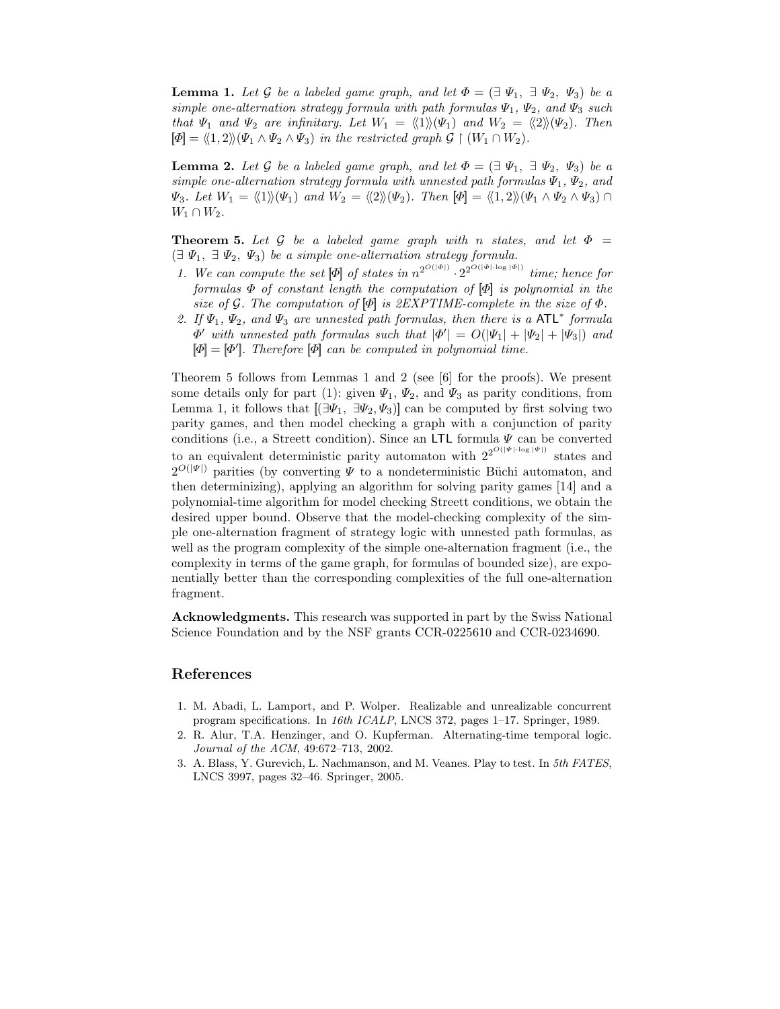**Lemma 1.** Let G be a labeled game graph, and let  $\Phi = (\exists \Psi_1, \exists \Psi_2, \Psi_3)$  be a simple one-alternation strategy formula with path formulas  $\Psi_1$ ,  $\Psi_2$ , and  $\Psi_3$  such that  $\Psi_1$  and  $\Psi_2$  are infinitary. Let  $W_1 = \langle \langle 1 \rangle \rangle \langle \Psi_1 \rangle$  and  $W_2 = \langle \langle 2 \rangle \rangle \langle \Psi_2 \rangle$ . Then  $[\Phi] = \langle 1, 2 \rangle \langle \Psi_1 \wedge \Psi_2 \wedge \Psi_3 \rangle$  in the restricted graph  $\mathcal{G} \upharpoonright (W_1 \cap W_2)$ .

**Lemma 2.** Let G be a labeled game graph, and let  $\Phi = (\exists \Psi_1, \exists \Psi_2, \Psi_3)$  be a simple one-alternation strategy formula with unnested path formulas  $\Psi_1, \Psi_2,$  and  $\Psi_3$ . Let  $W_1 = \langle \langle 1 \rangle \rangle \langle \Psi_1 \rangle$  and  $W_2 = \langle \langle 2 \rangle \rangle \langle \Psi_2 \rangle$ . Then  $[\Phi] = \langle \langle 1, 2 \rangle \rangle \langle \Psi_1 \wedge \Psi_2 \wedge \Psi_3 \rangle \cap$  $W_1 \cap W_2$ .

**Theorem 5.** Let G be a labeled game graph with n states, and let  $\Phi$  =  $(\exists \Psi_1, \exists \Psi_2, \Psi_3)$  be a simple one-alternation strategy formula.

- 1. We can compute the set  $[\Phi]$  of states in  $n^{2^{O(|\Phi|)} \cdot 2^{2^{O(|\Phi| \cdot \log |\Phi|)}}}$  time; hence for formulas  $\Phi$  of constant length the computation of  $[\Phi]$  is polynomial in the size of G. The computation of  $[\Phi]$  is 2EXPTIME-complete in the size of  $\Phi$ .
- 2. If  $\Psi_1$ ,  $\Psi_2$ , and  $\Psi_3$  are unnested path formulas, then there is a ATL<sup>\*</sup> formula  $\Phi'$  with unnested path formulas such that  $|\Phi'| = O(|\Psi_1| + |\Psi_2| + |\Psi_3|)$  and  $[\Phi] = [\Phi']$ . Therefore  $[\Phi]$  can be computed in polynomial time.

Theorem 5 follows from Lemmas 1 and 2 (see [6] for the proofs). We present some details only for part (1): given  $\Psi_1, \Psi_2$ , and  $\Psi_3$  as parity conditions, from Lemma 1, it follows that  $[(\exists \Psi_1, \exists \Psi_2, \Psi_3)]$  can be computed by first solving two parity games, and then model checking a graph with a conjunction of parity conditions (i.e., a Streett condition). Since an LTL formula  $\Psi$  can be converted to an equivalent deterministic parity automaton with  $2^{2^{O(|\Psi| \cdot \log |\Psi|)}}$ states and  $2^{O(|\Psi|)}$  parities (by converting  $\Psi$  to a nondeterministic Büchi automaton, and then determinizing), applying an algorithm for solving parity games [14] and a polynomial-time algorithm for model checking Streett conditions, we obtain the desired upper bound. Observe that the model-checking complexity of the simple one-alternation fragment of strategy logic with unnested path formulas, as well as the program complexity of the simple one-alternation fragment (i.e., the complexity in terms of the game graph, for formulas of bounded size), are exponentially better than the corresponding complexities of the full one-alternation fragment.

Acknowledgments. This research was supported in part by the Swiss National Science Foundation and by the NSF grants CCR-0225610 and CCR-0234690.

#### References

- 1. M. Abadi, L. Lamport, and P. Wolper. Realizable and unrealizable concurrent program specifications. In 16th ICALP, LNCS 372, pages 1–17. Springer, 1989.
- 2. R. Alur, T.A. Henzinger, and O. Kupferman. Alternating-time temporal logic. Journal of the ACM, 49:672–713, 2002.
- 3. A. Blass, Y. Gurevich, L. Nachmanson, and M. Veanes. Play to test. In 5th FATES, LNCS 3997, pages 32–46. Springer, 2005.